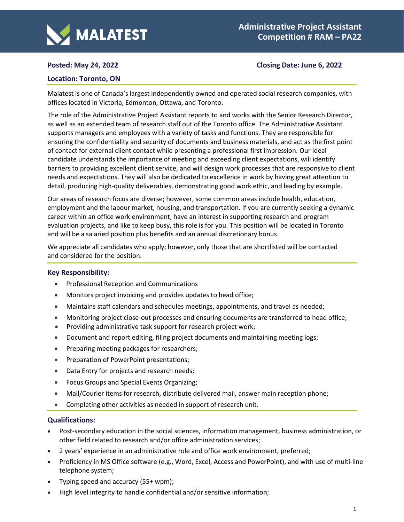

## **Posted: May 24, 2022 Closing Date: June 6, 2022**

## **Location: Toronto, ON**

Malatest is one of Canada's largest independently owned and operated social research companies, with offices located in Victoria, Edmonton, Ottawa, and Toronto.

The role of the Administrative Project Assistant reports to and works with the Senior Research Director, as well as an extended team of research staff out of the Toronto office. The Administrative Assistant supports managers and employees with a variety of tasks and functions. They are responsible for ensuring the confidentiality and security of documents and business materials, and act as the first point of contact for external client contact while presenting a professional first impression. Our ideal candidate understands the importance of meeting and exceeding client expectations, will identify barriers to providing excellent client service, and will design work processes that are responsive to client needs and expectations. They will also be dedicated to excellence in work by having great attention to detail, producing high-quality deliverables, demonstrating good work ethic, and leading by example.

Our areas of research focus are diverse; however, some common areas include health, education, employment and the labour market, housing, and transportation. If you are currently seeking a dynamic career within an office work environment, have an interest in supporting research and program evaluation projects, and like to keep busy, this role is for you. This position will be located in Toronto and will be a salaried position plus benefits and an annual discretionary bonus.

We appreciate all candidates who apply; however, only those that are shortlisted will be contacted and considered for the position.

## **Key Responsibility:**

- Professional Reception and Communications
- Monitors project invoicing and provides updates to head office;
- Maintains staff calendars and schedules meetings, appointments, and travel as needed;
- Monitoring project close-out processes and ensuring documents are transferred to head office;
- Providing administrative task support for research project work;
- Document and report editing, filing project documents and maintaining meeting logs;
- Preparing meeting packages for researchers;
- Preparation of PowerPoint presentations;
- Data Entry for projects and research needs;
- Focus Groups and Special Events Organizing;
- Mail/Courier items for research, distribute delivered mail, answer main reception phone;
- Completing other activities as needed in support of research unit.

## **Qualifications:**

- Post-secondary education in the social sciences, information management, business administration, or other field related to research and/or office administration services;
- 2 years' experience in an administrative role and office work environment, preferred;
- Proficiency in MS Office software (e.g., Word, Excel, Access and PowerPoint), and with use of multi-line telephone system;
- Typing speed and accuracy (55+ wpm);
- High level integrity to handle confidential and/or sensitive information;